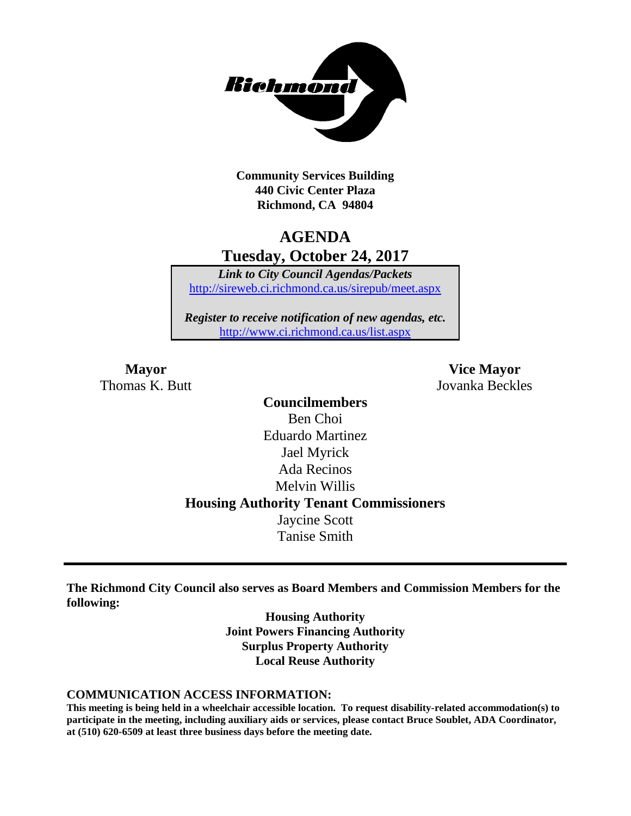

**Community Services Building 440 Civic Center Plaza Richmond, CA 94804**

## **AGENDA Tuesday, October 24, 2017**

*Link to City Council Agendas/Packets* <http://sireweb.ci.richmond.ca.us/sirepub/meet.aspx>

*Register to receive notification of new agendas, etc.* <http://www.ci.richmond.ca.us/list.aspx>

Thomas K. Butt Jovanka Beckles

**Mayor Vice Mayor**

**Councilmembers** Ben Choi Eduardo Martinez Jael Myrick Ada Recinos Melvin Willis **Housing Authority Tenant Commissioners** Jaycine Scott Tanise Smith

**The Richmond City Council also serves as Board Members and Commission Members for the following:**

> **Housing Authority Joint Powers Financing Authority Surplus Property Authority Local Reuse Authority**

#### **COMMUNICATION ACCESS INFORMATION:**

**This meeting is being held in a wheelchair accessible location. To request disability-related accommodation(s) to participate in the meeting, including auxiliary aids or services, please contact Bruce Soublet, ADA Coordinator, at (510) 620-6509 at least three business days before the meeting date.**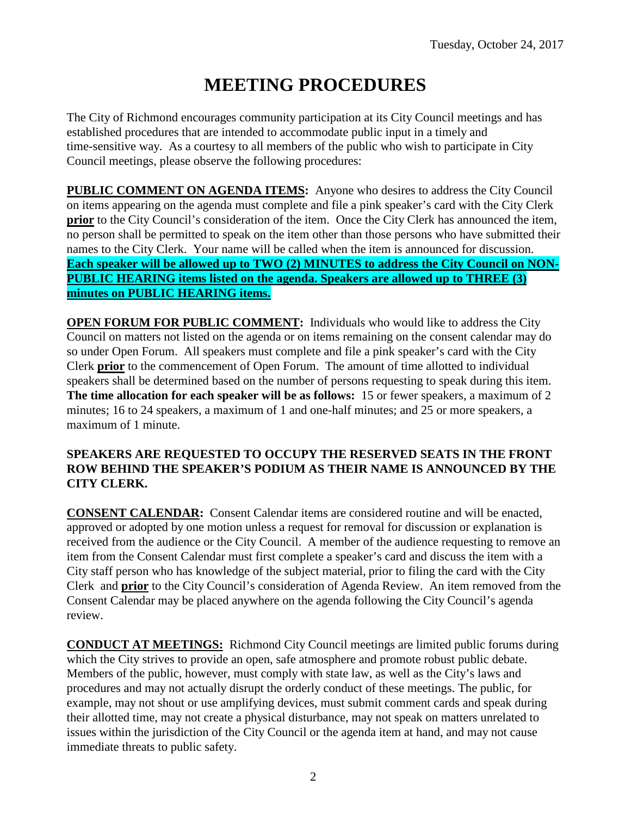# **MEETING PROCEDURES**

The City of Richmond encourages community participation at its City Council meetings and has established procedures that are intended to accommodate public input in a timely and time-sensitive way. As a courtesy to all members of the public who wish to participate in City Council meetings, please observe the following procedures:

**PUBLIC COMMENT ON AGENDA ITEMS:** Anyone who desires to address the City Council on items appearing on the agenda must complete and file a pink speaker's card with the City Clerk **prior** to the City Council's consideration of the item. Once the City Clerk has announced the item, no person shall be permitted to speak on the item other than those persons who have submitted their names to the City Clerk. Your name will be called when the item is announced for discussion. **Each speaker will be allowed up to TWO (2) MINUTES to address the City Council on NON-PUBLIC HEARING items listed on the agenda. Speakers are allowed up to THREE (3) minutes on PUBLIC HEARING items.**

**OPEN FORUM FOR PUBLIC COMMENT:** Individuals who would like to address the City Council on matters not listed on the agenda or on items remaining on the consent calendar may do so under Open Forum. All speakers must complete and file a pink speaker's card with the City Clerk **prior** to the commencement of Open Forum. The amount of time allotted to individual speakers shall be determined based on the number of persons requesting to speak during this item. **The time allocation for each speaker will be as follows:** 15 or fewer speakers, a maximum of 2 minutes; 16 to 24 speakers, a maximum of 1 and one-half minutes; and 25 or more speakers, a maximum of 1 minute.

### **SPEAKERS ARE REQUESTED TO OCCUPY THE RESERVED SEATS IN THE FRONT ROW BEHIND THE SPEAKER'S PODIUM AS THEIR NAME IS ANNOUNCED BY THE CITY CLERK.**

**CONSENT CALENDAR:** Consent Calendar items are considered routine and will be enacted, approved or adopted by one motion unless a request for removal for discussion or explanation is received from the audience or the City Council. A member of the audience requesting to remove an item from the Consent Calendar must first complete a speaker's card and discuss the item with a City staff person who has knowledge of the subject material, prior to filing the card with the City Clerk and **prior** to the City Council's consideration of Agenda Review. An item removed from the Consent Calendar may be placed anywhere on the agenda following the City Council's agenda review.

**CONDUCT AT MEETINGS:** Richmond City Council meetings are limited public forums during which the City strives to provide an open, safe atmosphere and promote robust public debate. Members of the public, however, must comply with state law, as well as the City's laws and procedures and may not actually disrupt the orderly conduct of these meetings. The public, for example, may not shout or use amplifying devices, must submit comment cards and speak during their allotted time, may not create a physical disturbance, may not speak on matters unrelated to issues within the jurisdiction of the City Council or the agenda item at hand, and may not cause immediate threats to public safety.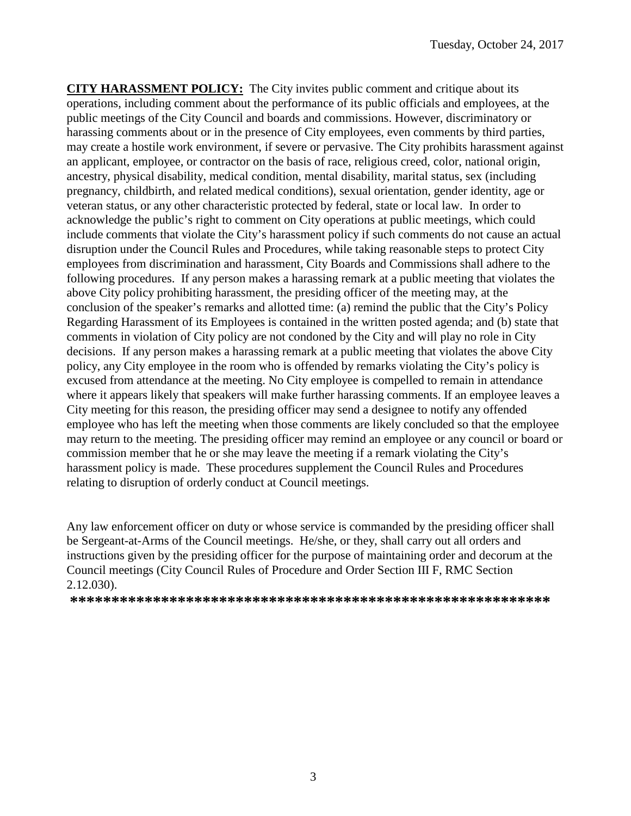**CITY HARASSMENT POLICY:** The City invites public comment and critique about its operations, including comment about the performance of its public officials and employees, at the public meetings of the City Council and boards and commissions. However, discriminatory or harassing comments about or in the presence of City employees, even comments by third parties, may create a hostile work environment, if severe or pervasive. The City prohibits harassment against an applicant, employee, or contractor on the basis of race, religious creed, color, national origin, ancestry, physical disability, medical condition, mental disability, marital status, sex (including pregnancy, childbirth, and related medical conditions), sexual orientation, gender identity, age or veteran status, or any other characteristic protected by federal, state or local law. In order to acknowledge the public's right to comment on City operations at public meetings, which could include comments that violate the City's harassment policy if such comments do not cause an actual disruption under the Council Rules and Procedures, while taking reasonable steps to protect City employees from discrimination and harassment, City Boards and Commissions shall adhere to the following procedures. If any person makes a harassing remark at a public meeting that violates the above City policy prohibiting harassment, the presiding officer of the meeting may, at the conclusion of the speaker's remarks and allotted time: (a) remind the public that the City's Policy Regarding Harassment of its Employees is contained in the written posted agenda; and (b) state that comments in violation of City policy are not condoned by the City and will play no role in City decisions. If any person makes a harassing remark at a public meeting that violates the above City policy, any City employee in the room who is offended by remarks violating the City's policy is excused from attendance at the meeting. No City employee is compelled to remain in attendance where it appears likely that speakers will make further harassing comments. If an employee leaves a City meeting for this reason, the presiding officer may send a designee to notify any offended employee who has left the meeting when those comments are likely concluded so that the employee may return to the meeting. The presiding officer may remind an employee or any council or board or commission member that he or she may leave the meeting if a remark violating the City's harassment policy is made. These procedures supplement the Council Rules and Procedures relating to disruption of orderly conduct at Council meetings.

Any law enforcement officer on duty or whose service is commanded by the presiding officer shall be Sergeant-at-Arms of the Council meetings. He/she, or they, shall carry out all orders and instructions given by the presiding officer for the purpose of maintaining order and decorum at the Council meetings (City Council Rules of Procedure and Order Section III F, RMC Section 2.12.030).

**\*\*\*\*\*\*\*\*\*\*\*\*\*\*\*\*\*\*\*\*\*\*\*\*\*\*\*\*\*\*\*\*\*\*\*\*\*\*\*\*\*\*\*\*\*\*\*\*\*\*\*\*\*\*\*\*\*\***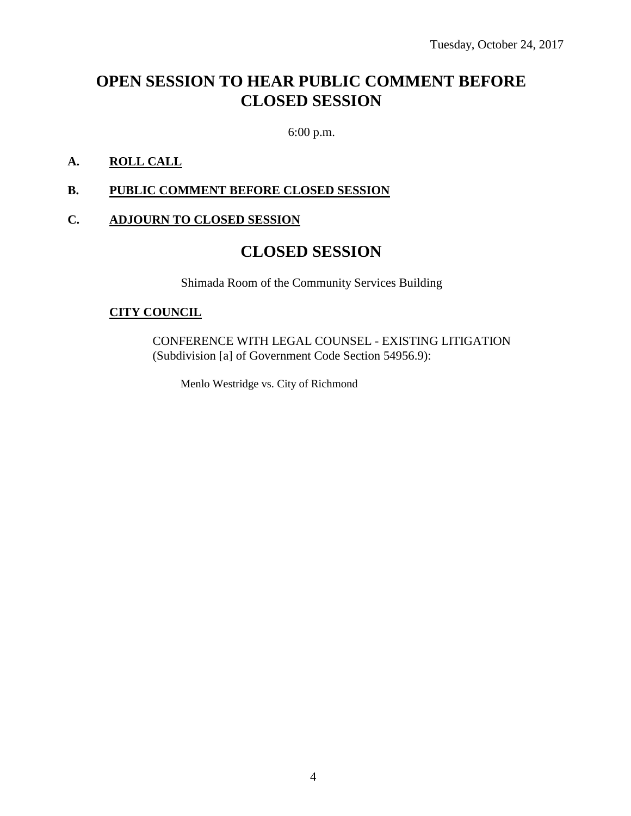## **OPEN SESSION TO HEAR PUBLIC COMMENT BEFORE CLOSED SESSION**

6:00 p.m.

### **A. ROLL CALL**

### **B. PUBLIC COMMENT BEFORE CLOSED SESSION**

### **C. ADJOURN TO CLOSED SESSION**

### **CLOSED SESSION**

Shimada Room of the Community Services Building

### **CITY COUNCIL**

CONFERENCE WITH LEGAL COUNSEL - EXISTING LITIGATION (Subdivision [a] of Government Code Section 54956.9):

Menlo Westridge vs. City of Richmond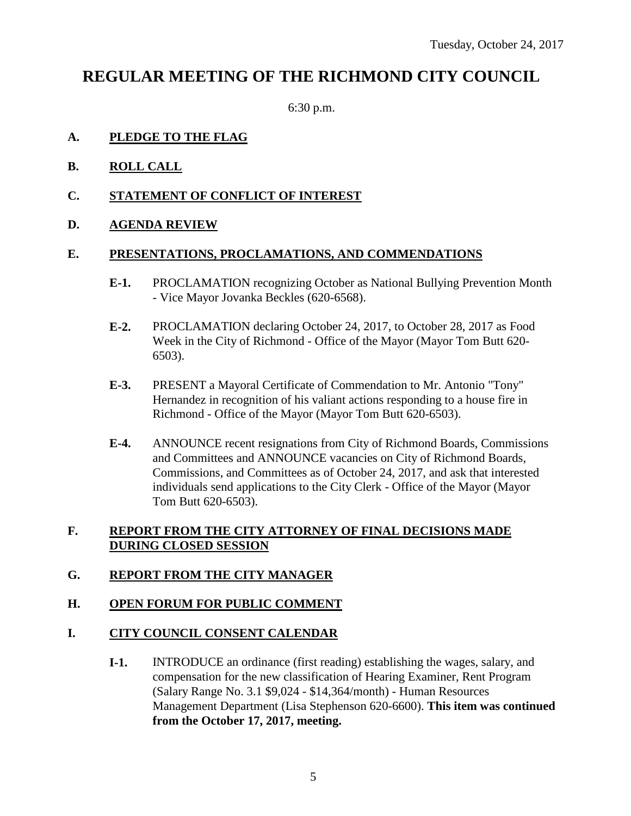### **REGULAR MEETING OF THE RICHMOND CITY COUNCIL**

6:30 p.m.

### **A. PLEDGE TO THE FLAG**

- **B. ROLL CALL**
- **C. STATEMENT OF CONFLICT OF INTEREST**
- **D. AGENDA REVIEW**

#### **E. PRESENTATIONS, PROCLAMATIONS, AND COMMENDATIONS**

- **E-1.** PROCLAMATION recognizing October as National Bullying Prevention Month - Vice Mayor Jovanka Beckles (620-6568).
- **E-2.** PROCLAMATION declaring October 24, 2017, to October 28, 2017 as Food Week in the City of Richmond - Office of the Mayor (Mayor Tom Butt 620- 6503).
- **E-3.** PRESENT a Mayoral Certificate of Commendation to Mr. Antonio "Tony" Hernandez in recognition of his valiant actions responding to a house fire in Richmond - Office of the Mayor (Mayor Tom Butt 620-6503).
- **E-4.** ANNOUNCE recent resignations from City of Richmond Boards, Commissions and Committees and ANNOUNCE vacancies on City of Richmond Boards, Commissions, and Committees as of October 24, 2017, and ask that interested individuals send applications to the City Clerk - Office of the Mayor (Mayor Tom Butt 620-6503).

### **F. REPORT FROM THE CITY ATTORNEY OF FINAL DECISIONS MADE DURING CLOSED SESSION**

### **G. REPORT FROM THE CITY MANAGER**

### **H. OPEN FORUM FOR PUBLIC COMMENT**

### **I. CITY COUNCIL CONSENT CALENDAR**

**I-1.** INTRODUCE an ordinance (first reading) establishing the wages, salary, and compensation for the new classification of Hearing Examiner, Rent Program (Salary Range No. 3.1 \$9,024 - \$14,364/month) - Human Resources Management Department (Lisa Stephenson 620-6600). **This item was continued from the October 17, 2017, meeting.**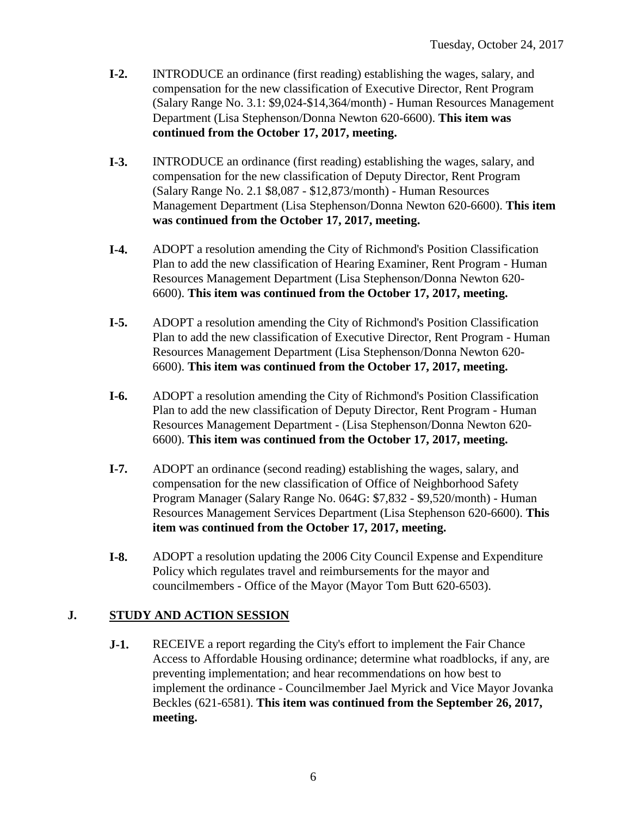- **I-2.** INTRODUCE an ordinance (first reading) establishing the wages, salary, and compensation for the new classification of Executive Director, Rent Program (Salary Range No. 3.1: \$9,024-\$14,364/month) - Human Resources Management Department (Lisa Stephenson/Donna Newton 620-6600). **This item was continued from the October 17, 2017, meeting.**
- **I-3.** INTRODUCE an ordinance (first reading) establishing the wages, salary, and compensation for the new classification of Deputy Director, Rent Program (Salary Range No. 2.1 \$8,087 - \$12,873/month) - Human Resources Management Department (Lisa Stephenson/Donna Newton 620-6600). **This item was continued from the October 17, 2017, meeting.**
- **I-4.** ADOPT a resolution amending the City of Richmond's Position Classification Plan to add the new classification of Hearing Examiner, Rent Program - Human Resources Management Department (Lisa Stephenson/Donna Newton 620- 6600). **This item was continued from the October 17, 2017, meeting.**
- **I-5.** ADOPT a resolution amending the City of Richmond's Position Classification Plan to add the new classification of Executive Director, Rent Program - Human Resources Management Department (Lisa Stephenson/Donna Newton 620- 6600). **This item was continued from the October 17, 2017, meeting.**
- **I-6.** ADOPT a resolution amending the City of Richmond's Position Classification Plan to add the new classification of Deputy Director, Rent Program - Human Resources Management Department - (Lisa Stephenson/Donna Newton 620- 6600). **This item was continued from the October 17, 2017, meeting.**
- **I-7.** ADOPT an ordinance (second reading) establishing the wages, salary, and compensation for the new classification of Office of Neighborhood Safety Program Manager (Salary Range No. 064G: \$7,832 - \$9,520/month) - Human Resources Management Services Department (Lisa Stephenson 620-6600). **This item was continued from the October 17, 2017, meeting.**
- **I-8.** ADOPT a resolution updating the 2006 City Council Expense and Expenditure Policy which regulates travel and reimbursements for the mayor and councilmembers - Office of the Mayor (Mayor Tom Butt 620-6503).

### **J. STUDY AND ACTION SESSION**

**J-1.** RECEIVE a report regarding the City's effort to implement the Fair Chance Access to Affordable Housing ordinance; determine what roadblocks, if any, are preventing implementation; and hear recommendations on how best to implement the ordinance - Councilmember Jael Myrick and Vice Mayor Jovanka Beckles (621-6581). **This item was continued from the September 26, 2017, meeting.**